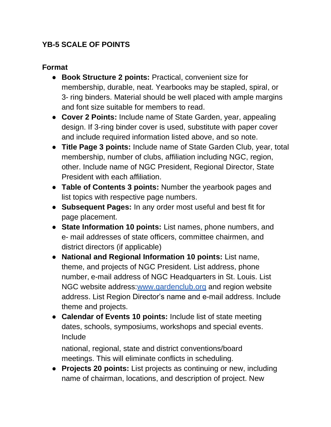## **YB-5 SCALE OF POINTS**

## **Format**

- **Book Structure 2 points:** Practical, convenient size for membership, durable, neat. Yearbooks may be stapled, spiral, or 3- ring binders. Material should be well placed with ample margins and font size suitable for members to read.
- **Cover 2 Points:** Include name of State Garden, year, appealing design. If 3-ring binder cover is used, substitute with paper cover and include required information listed above, and so note.
- **Title Page 3 points:** Include name of State Garden Club, year, total membership, number of clubs, affiliation including NGC, region, other. Include name of NGC President, Regional Director, State President with each affiliation.
- **Table of Contents 3 points:** Number the yearbook pages and list topics with respective page numbers.
- **Subsequent Pages:** In any order most useful and best fit for page placement.
- **State Information 10 points:** List names, phone numbers, and e- mail addresses of state officers, committee chairmen, and district directors (if applicable)
- **National and Regional Information 10 points:** List name, theme, and projects of NGC President. List address, phone number, e-mail address of NGC Headquarters in St. Louis. List NGC website address: www.gardenclub.org and region website address. List Region Director's name and e-mail address. Include theme and projects.
- **Calendar of Events 10 points:** Include list of state meeting dates, schools, symposiums, workshops and special events. Include

national, regional, state and district conventions/board meetings. This will eliminate conflicts in scheduling.

● **Projects 20 points:** List projects as continuing or new, including name of chairman, locations, and description of project. New